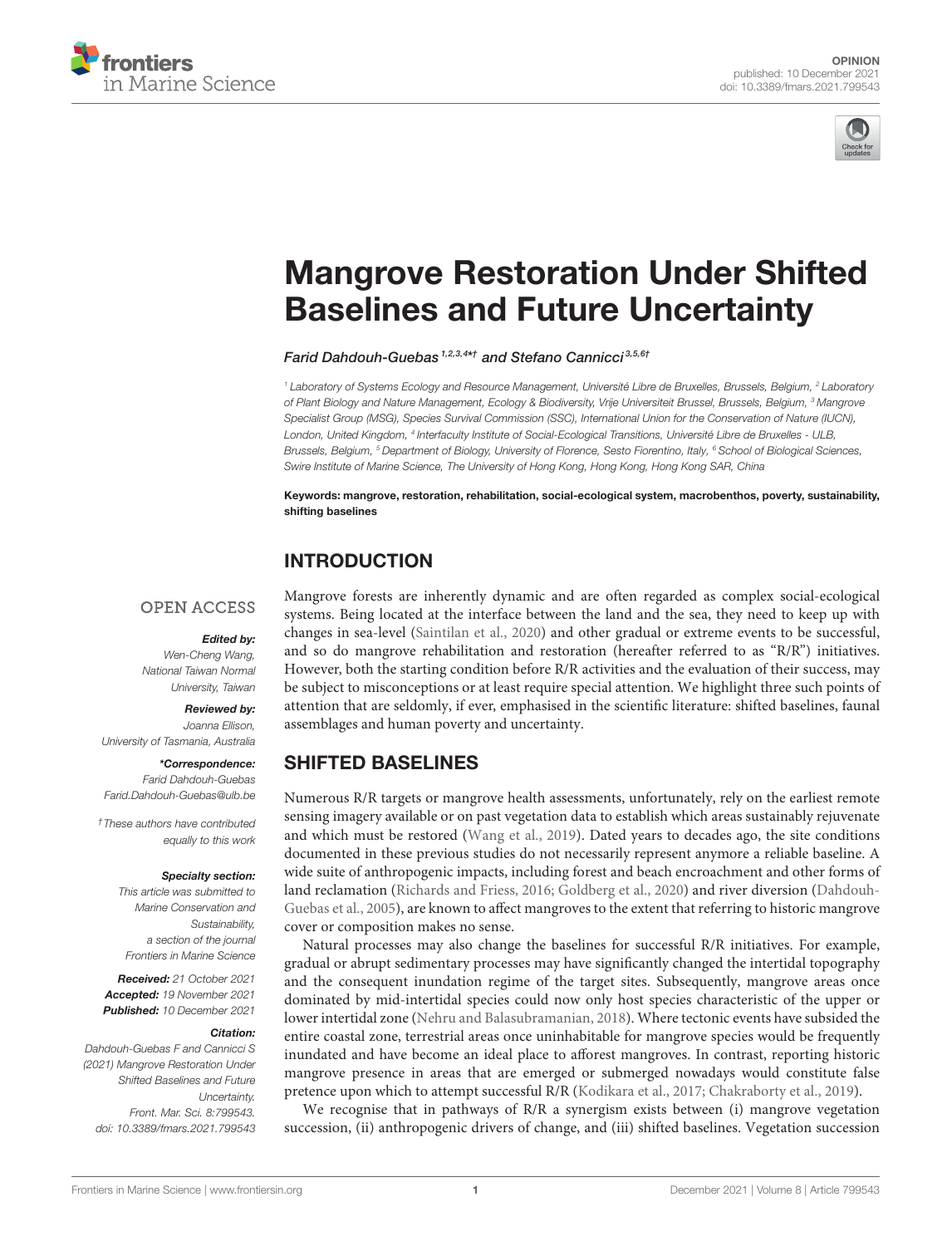



# [Mangrove Restoration Under Shifted](https://www.frontiersin.org/articles/10.3389/fmars.2021.799543/full) Baselines and Future Uncertainty

Farid Dahdouh-Guebas<sup>1,2,3,4\*†</sup> and Stefano Cannicci<sup>3,5,6†</sup>

<sup>1</sup> Laboratory of Systems Ecology and Resource Management, Université Libre de Bruxelles, Brussels, Belgium, <sup>2</sup> Laboratory of Plant Biology and Nature Management, Ecology & Biodiversity, Vrije Universiteit Brussel, Brussels, Belgium, <sup>3</sup> Mangrove Specialist Group (MSG), Species Survival Commission (SSC), International Union for the Conservation of Nature (IUCN), London, United Kingdom, <sup>4</sup> Interfaculty Institute of Social-Ecological Transitions, Université Libre de Bruxelles - ULB, Brussels, Belgium, <sup>5</sup> Department of Biology, University of Florence, Sesto Fiorentino, Italy, <sup>6</sup> School of Biological Sciences, Swire Institute of Marine Science, The University of Hong Kong, Hong Kong, Hong Kong SAR, China

Keywords: mangrove, restoration, rehabilitation, social-ecological system, macrobenthos, poverty, sustainability, shifting baselines

## INTRODUCTION

#### **OPEN ACCESS**

#### Edited by:

Wen-Cheng Wang, National Taiwan Normal University, Taiwan

#### Reviewed by:

Joanna Ellison, University of Tasmania, Australia

\*Correspondence: Farid Dahdouh-Guebas [Farid.Dahdouh-Guebas@ulb.be](mailto:Farid.Dahdouh-Guebas@ulb.be)

†These authors have contributed equally to this work

#### Specialty section:

This article was submitted to Marine Conservation and Sustainability, a section of the journal Frontiers in Marine Science

Received: 21 October 2021 Accepted: 19 November 2021 Published: 10 December 2021

#### Citation:

Dahdouh-Guebas F and Cannicci S (2021) Mangrove Restoration Under Shifted Baselines and Future Uncertainty. Front. Mar. Sci. 8:799543. doi: [10.3389/fmars.2021.799543](https://doi.org/10.3389/fmars.2021.799543)

Mangrove forests are inherently dynamic and are often regarded as complex social-ecological systems. Being located at the interface between the land and the sea, they need to keep up with changes in sea-level [\(Saintilan et al., 2020\)](#page-3-0) and other gradual or extreme events to be successful, and so do mangrove rehabilitation and restoration (hereafter referred to as "R/R") initiatives. However, both the starting condition before R/R activities and the evaluation of their success, may be subject to misconceptions or at least require special attention. We highlight three such points of attention that are seldomly, if ever, emphasised in the scientific literature: shifted baselines, faunal assemblages and human poverty and uncertainty.

#### SHIFTED BASELINES

Numerous R/R targets or mangrove health assessments, unfortunately, rely on the earliest remote sensing imagery available or on past vegetation data to establish which areas sustainably rejuvenate and which must be restored [\(Wang et al., 2019\)](#page-3-1). Dated years to decades ago, the site conditions documented in these previous studies do not necessarily represent anymore a reliable baseline. A wide suite of anthropogenic impacts, including forest and beach encroachment and other forms of land reclamation [\(Richards and Friess, 2016;](#page-3-2) [Goldberg et al., 2020\)](#page-3-3) and river diversion (Dahdouh-Guebas et al., [2005\)](#page-3-4), are known to affect mangroves to the extent that referring to historic mangrove cover or composition makes no sense.

Natural processes may also change the baselines for successful R/R initiatives. For example, gradual or abrupt sedimentary processes may have significantly changed the intertidal topography and the consequent inundation regime of the target sites. Subsequently, mangrove areas once dominated by mid-intertidal species could now only host species characteristic of the upper or lower intertidal zone [\(Nehru and Balasubramanian, 2018\)](#page-3-5). Where tectonic events have subsided the entire coastal zone, terrestrial areas once uninhabitable for mangrove species would be frequently inundated and have become an ideal place to afforest mangroves. In contrast, reporting historic mangrove presence in areas that are emerged or submerged nowadays would constitute false pretence upon which to attempt successful R/R [\(Kodikara et al., 2017;](#page-3-6) [Chakraborty et al., 2019\)](#page-3-7).

We recognise that in pathways of R/R a synergism exists between (i) mangrove vegetation succession, (ii) anthropogenic drivers of change, and (iii) shifted baselines. Vegetation succession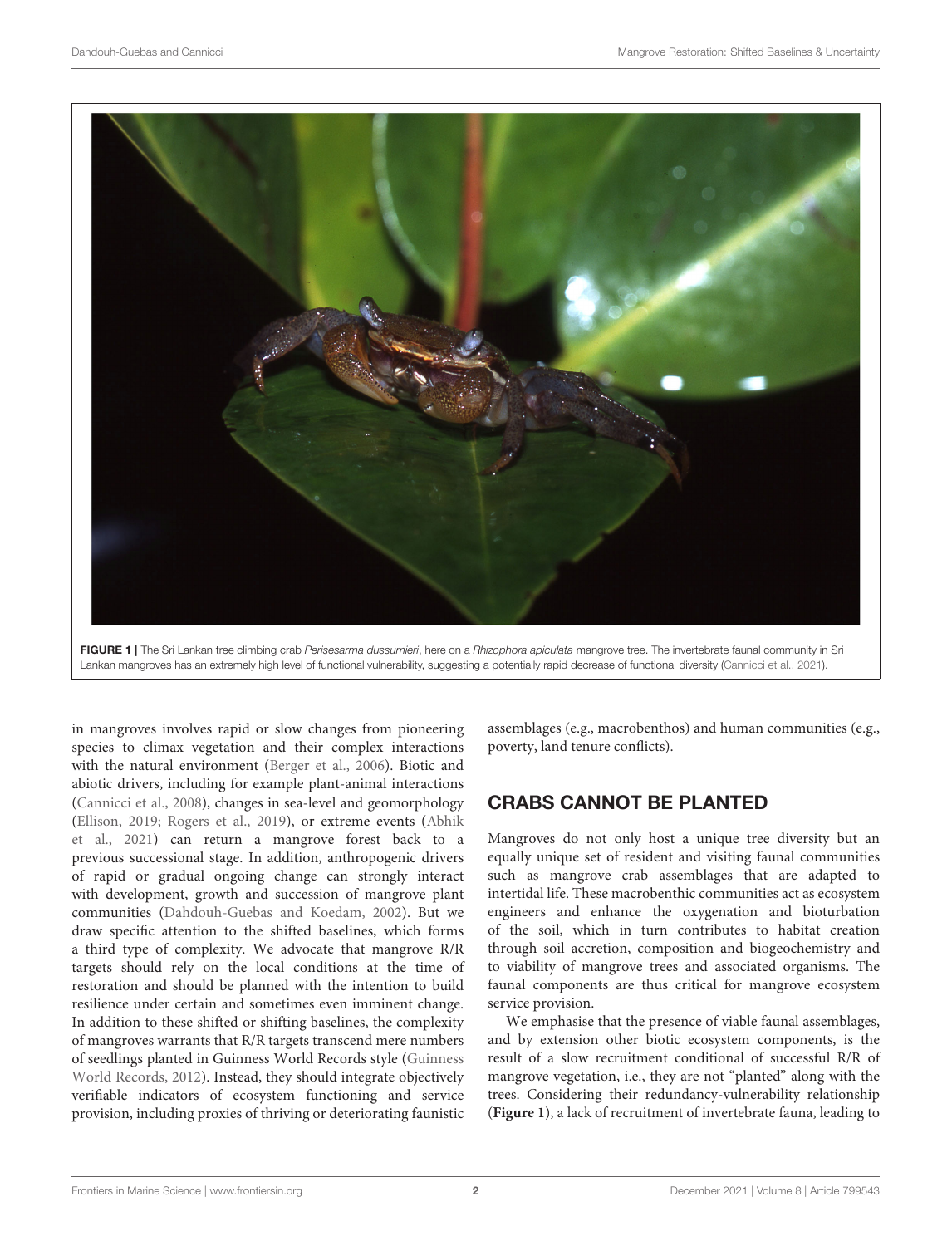

FIGURE 1 | The Sri Lankan tree climbing crab Perisesarma dussumieri, here on a Rhizophora apiculata mangrove tree. The invertebrate faunal community in Sri Lankan mangroves has an extremely high level of functional vulnerability, suggesting a potentially rapid decrease of functional diversity [\(Cannicci et al., 2021\)](#page-3-8).

<span id="page-1-0"></span>in mangroves involves rapid or slow changes from pioneering species to climax vegetation and their complex interactions with the natural environment [\(Berger et al., 2006\)](#page-2-0). Biotic and abiotic drivers, including for example plant-animal interactions [\(Cannicci et al., 2008\)](#page-3-9), changes in sea-level and geomorphology [\(Ellison, 2019;](#page-3-10) [Rogers et al., 2019\)](#page-3-11), or extreme events (Abhik et al., [2021\)](#page-2-1) can return a mangrove forest back to a previous successional stage. In addition, anthropogenic drivers of rapid or gradual ongoing change can strongly interact with development, growth and succession of mangrove plant communities [\(Dahdouh-Guebas and Koedam, 2002\)](#page-3-12). But we draw specific attention to the shifted baselines, which forms a third type of complexity. We advocate that mangrove R/R targets should rely on the local conditions at the time of restoration and should be planned with the intention to build resilience under certain and sometimes even imminent change. In addition to these shifted or shifting baselines, the complexity of mangroves warrants that R/R targets transcend mere numbers of seedlings planted in Guinness World Records style (Guinness World Records, [2012\)](#page-3-13). Instead, they should integrate objectively verifiable indicators of ecosystem functioning and service provision, including proxies of thriving or deteriorating faunistic assemblages (e.g., macrobenthos) and human communities (e.g., poverty, land tenure conflicts).

## CRABS CANNOT BE PLANTED

Mangroves do not only host a unique tree diversity but an equally unique set of resident and visiting faunal communities such as mangrove crab assemblages that are adapted to intertidal life. These macrobenthic communities act as ecosystem engineers and enhance the oxygenation and bioturbation of the soil, which in turn contributes to habitat creation through soil accretion, composition and biogeochemistry and to viability of mangrove trees and associated organisms. The faunal components are thus critical for mangrove ecosystem service provision.

We emphasise that the presence of viable faunal assemblages, and by extension other biotic ecosystem components, is the result of a slow recruitment conditional of successful R/R of mangrove vegetation, i.e., they are not "planted" along with the trees. Considering their redundancy-vulnerability relationship (**[Figure 1](#page-1-0)**), a lack of recruitment of invertebrate fauna, leading to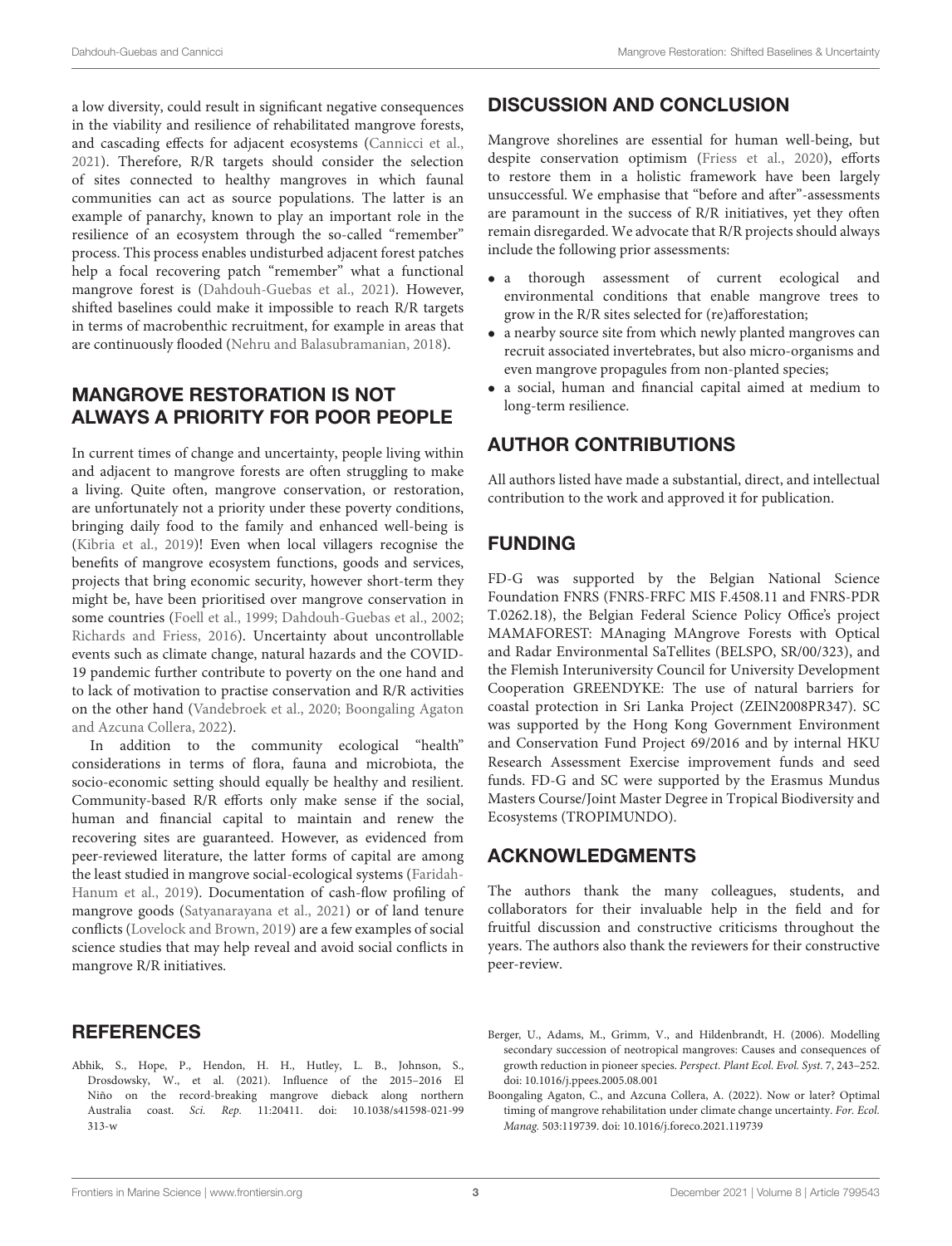a low diversity, could result in significant negative consequences in the viability and resilience of rehabilitated mangrove forests, and cascading effects for adjacent ecosystems [\(Cannicci et al.,](#page-3-8) [2021\)](#page-3-8). Therefore, R/R targets should consider the selection of sites connected to healthy mangroves in which faunal communities can act as source populations. The latter is an example of panarchy, known to play an important role in the resilience of an ecosystem through the so-called "remember" process. This process enables undisturbed adjacent forest patches help a focal recovering patch "remember" what a functional mangrove forest is [\(Dahdouh-Guebas et al., 2021\)](#page-3-14). However, shifted baselines could make it impossible to reach R/R targets in terms of macrobenthic recruitment, for example in areas that are continuously flooded [\(Nehru and Balasubramanian, 2018\)](#page-3-5).

## MANGROVE RESTORATION IS NOT ALWAYS A PRIORITY FOR POOR PEOPLE

In current times of change and uncertainty, people living within and adjacent to mangrove forests are often struggling to make a living. Quite often, mangrove conservation, or restoration, are unfortunately not a priority under these poverty conditions, bringing daily food to the family and enhanced well-being is [\(Kibria et al., 2019\)](#page-3-15)! Even when local villagers recognise the benefits of mangrove ecosystem functions, goods and services, projects that bring economic security, however short-term they might be, have been prioritised over mangrove conservation in some countries [\(Foell et al., 1999;](#page-3-16) [Dahdouh-Guebas et al., 2002;](#page-3-17) [Richards and Friess, 2016\)](#page-3-2). Uncertainty about uncontrollable events such as climate change, natural hazards and the COVID-19 pandemic further contribute to poverty on the one hand and to lack of motivation to practise conservation and R/R activities on the other hand [\(Vandebroek et al., 2020;](#page-3-18) Boongaling Agaton and Azcuna Collera, [2022\)](#page-2-2).

In addition to the community ecological "health" considerations in terms of flora, fauna and microbiota, the socio-economic setting should equally be healthy and resilient. Community-based R/R efforts only make sense if the social, human and financial capital to maintain and renew the recovering sites are guaranteed. However, as evidenced from peer-reviewed literature, the latter forms of capital are among the least studied in mangrove social-ecological systems (Faridah-Hanum et al., [2019\)](#page-3-19). Documentation of cash-flow profiling of mangrove goods [\(Satyanarayana et al., 2021\)](#page-3-20) or of land tenure conflicts [\(Lovelock and Brown, 2019\)](#page-3-21) are a few examples of social science studies that may help reveal and avoid social conflicts in mangrove R/R initiatives.

#### **REFERENCES**

<span id="page-2-1"></span>Abhik, S., Hope, P., Hendon, H. H., Hutley, L. B., Johnson, S., Drosdowsky, W., et al. (2021). Influence of the 2015–2016 El Niño on the record-breaking mangrove dieback along northern Australia coast. Sci. Rep. [11:20411. doi: 10.1038/s41598-021-99](https://doi.org/10.1038/s41598-021-99313-w) 313-w

# DISCUSSION AND CONCLUSION

Mangrove shorelines are essential for human well-being, but despite conservation optimism [\(Friess et al., 2020\)](#page-3-22), efforts to restore them in a holistic framework have been largely unsuccessful. We emphasise that "before and after"-assessments are paramount in the success of R/R initiatives, yet they often remain disregarded. We advocate that R/R projects should always include the following prior assessments:

- a thorough assessment of current ecological and environmental conditions that enable mangrove trees to grow in the R/R sites selected for (re)afforestation;
- a nearby source site from which newly planted mangroves can recruit associated invertebrates, but also micro-organisms and even mangrove propagules from non-planted species;
- a social, human and financial capital aimed at medium to long-term resilience.

## AUTHOR CONTRIBUTIONS

All authors listed have made a substantial, direct, and intellectual contribution to the work and approved it for publication.

#### FUNDING

FD-G was supported by the Belgian National Science Foundation FNRS (FNRS-FRFC MIS F.4508.11 and FNRS-PDR T.0262.18), the Belgian Federal Science Policy Office's project MAMAFOREST: MAnaging MAngrove Forests with Optical and Radar Environmental SaTellites (BELSPO, SR/00/323), and the Flemish Interuniversity Council for University Development Cooperation GREENDYKE: The use of natural barriers for coastal protection in Sri Lanka Project (ZEIN2008PR347). SC was supported by the Hong Kong Government Environment and Conservation Fund Project 69/2016 and by internal HKU Research Assessment Exercise improvement funds and seed funds. FD-G and SC were supported by the Erasmus Mundus Masters Course/Joint Master Degree in Tropical Biodiversity and Ecosystems (TROPIMUNDO).

## ACKNOWLEDGMENTS

The authors thank the many colleagues, students, and collaborators for their invaluable help in the field and for fruitful discussion and constructive criticisms throughout the years. The authors also thank the reviewers for their constructive peer-review.

- <span id="page-2-0"></span>Berger, U., Adams, M., Grimm, V., and Hildenbrandt, H. (2006). Modelling secondary succession of neotropical mangroves: Causes and consequences of growth reduction in pioneer species. Perspect. Plant Ecol. Evol. Syst. 7, 243–252. doi: [10.1016/j.ppees.2005.08.001](https://doi.org/10.1016/j.ppees.2005.08.001)
- <span id="page-2-2"></span>Boongaling Agaton, C., and Azcuna Collera, A. (2022). Now or later? Optimal timing of mangrove rehabilitation under climate change uncertainty. For. Ecol. Manag. 503:119739. doi: [10.1016/j.foreco.2021.119739](https://doi.org/10.1016/j.foreco.2021.119739)